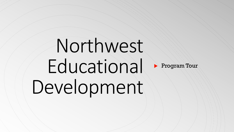# Northwest Educational Development Program Tour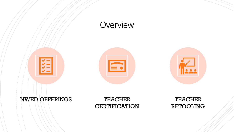









# **CERTIFICATION**

### **TEACHER** RETOOLING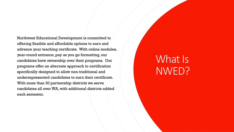Northwest Educational Development is committed to offering flexible and affordable options to earn and advance your teaching certificate. With online modules, year-round entrance, pay as you go formatting, our candidates have ownership over their programs. Our programs offer an alternate approach to certification specifically designed to allow non-traditional and underrepresented candidates to earn their certificate. With more than 30 partnership districts we serve candidates all over WA, with additional districts added each semester.

# What Is NWED?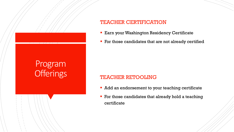## Program **Offerings**

#### TEACHER CERTIFICATION

- **Earn your Washington Residency Certificate**
- **For those candidates that are not already certified**

#### TEACHER RETOOLING

- **Add an endorsement to your teaching certificate**
- **For those candidates that already hold a teaching** certificate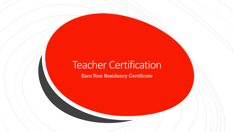# Teacher Certification

Earn Your Residency Certificate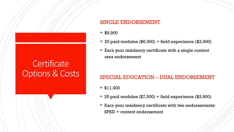## **Certificate** Options & Costs

#### SINGLE ENDORSEMENT

- \$9,900
- 20 paid modules (\$6,000) + field experience (\$3,900)
- Earn your residency certificate with a single content area endorsement

#### SPECIAL EDUCATION – DUAL ENDORSEMENT

- $\blacksquare$  \$11,400
- $25$  paid modules  $(\$7,500)$  + field experience  $(\$3,900)$
- Earn your residency certificate with two endorsements: SPED + content endorsement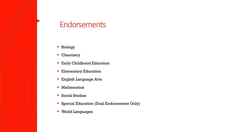## Endorsements

- **Biology**
- **•** Chemistry
- **Early Childhood Education**
- **Elementary Education**
- **English Language Arts**
- **E** Mathematics
- Social Studies
- **Special Education (Dual Endorsement Only)**
- World Languages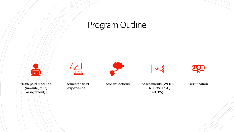## Program Outline



20-25 paid modules (module, quiz, assignment)



1 semester field experience

န္ကန္က

Field reflections Assessments (WEST-B, NES/WEST-E, edTPA)



**Certification**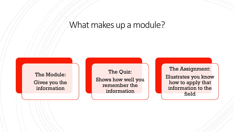## What makes up a module?

The Module: Gives you the information

The Quiz: Shows how well you remember the information

The Assignment: Illustrates you know how to apply that information to the field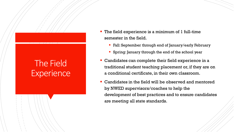## The Field **Experience**

- **The field experience is a minimum of 1 full-time** semester in the field.
	- Fall: September through end of January/early February
	- **Spring: January through the end of the school year**
- Candidates can complete their field experience in a traditional student teaching placement or, if they are on a conditional certificate, in their own classroom.
- Candidates in the field will be observed and mentored by NWED supervisors/coaches to help the development of best practices and to ensure candidates are meeting all state standards.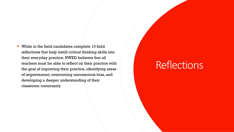■ While in the field candidates complete 10 field reflections that help instill critical thinking skills into their everyday practice. NWED believes that all teachers must be able to reflect on their practice with the goal of improving their practice, identifying areas of improvement, overcoming unconscious bias, and developing a deeper understanding of their classroom community.

# **Reflections**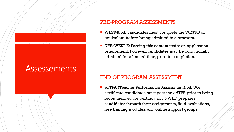## **Assessements**

#### PRE-PROGRAM ASSESSMENTS

- WEST-B: All candidates must complete the WEST-B or equivalent before being admitted to a program.
- NES/WEST-E: Passing this content test is an application requirement, however, candidates may be conditionally admitted for a limited time, prior to completion.

#### END OF PROGRAM ASSESSMENT

**• edTPA (Teacher Performance Assessment): All WA** certificate candidates must pass the edTPA prior to being recommended for certification. NWED prepares candidates through their assignments, field evaluations, free training modules, and online support groups.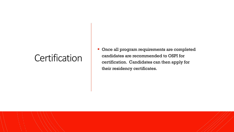## **Certification**

**• Once all program requirements are completed** candidates are recommended to OSPI for certification. Candidates can then apply for their residency certificates.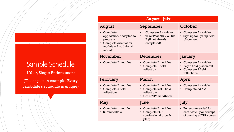## Sample Schedule

1 Year, Single Endorsement

(This is just an example. Every candidate's schedule is unique)

| <b>August - July</b>                                                                                            |                                                                                        |                                                                                    |  |
|-----------------------------------------------------------------------------------------------------------------|----------------------------------------------------------------------------------------|------------------------------------------------------------------------------------|--|
| August                                                                                                          | September                                                                              | October                                                                            |  |
| • Complete<br>application/Accepted to<br>program<br>• Complete orientation<br>$module + 1 additional$<br>module | Complete 3 modules<br>Take/Pass NES/WEST-<br>E (if not already<br>completed)           | • Complete 2 modules<br>Sign up for Spring field<br>placement                      |  |
| November                                                                                                        | December                                                                               | January                                                                            |  |
| Complete 2 modules                                                                                              | Complete 2 modules<br>Complete 1 field<br>reflection                                   | • Complete 2 modules<br>Begin field placement<br>• Complete 3 field<br>reflections |  |
| February                                                                                                        | March                                                                                  | April                                                                              |  |
| Complete 2 modules<br>Complete 4 field<br>reflections                                                           | • Complete 2 modules<br>• Complete last 2 field<br>reflections<br>• Get edTPA handbook | Complete 1 module<br>Complete edTPA                                                |  |
| May                                                                                                             | June                                                                                   | July                                                                               |  |
| Complete 1 module<br>Submit edTPA                                                                               | Complete 2 modules<br><b>Complete PGP</b><br>(professional growth<br>plan)             | • Be recommended for<br>certificate upon receipt<br>of passing edTPA scores        |  |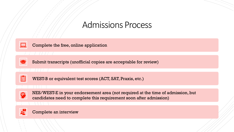## Admissions Process



#### Complete the free, online application

#### $\sqrt{111}$

**Contract Contract** 



Submit transcripts (unofficial copies are acceptable for review)

#### $\left| \begin{array}{c} \end{array} \right|$



WEST-B or equivalent test scores (ACT, SAT, Praxis, etc.)



NES/WEST-E in your endorsement area (not required at the time of admission, but candidates need to complete this requirement soon after admission)

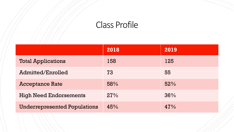## Class Profile

|                                     | 2018 | 2019 |
|-------------------------------------|------|------|
| <b>Total Applications</b>           | 158  | 125  |
| Admitted/Enrolled                   | 73   | 55   |
| <b>Acceptance Rate</b>              | 58%  | 52%  |
| <b>High Need Endorsements</b>       | 27%  | 36%  |
| <b>Underrepresented Populations</b> | 45%  | 47%  |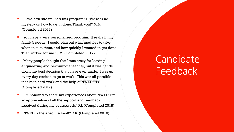- "I love how streamlined this program is. There is no mystery on how to get it done. Thank you!" M.N. (Completed 2017)
- "You have a very personalized program. It really fit my family's needs. I could plan out what modules to take, when to take them, and how quickly I wanted to get done. That worked for me." J.M. (Completed 2017)
- "Many people thought that I was crazy for leaving engineering and becoming a teacher, but it was hands down the best decision that I have ever made. I was up every day excited to go to work. This was all possible thanks to hard work and the help of NWED." T.S. (Completed 2017)
- "I'm honored to share my experiences about NWED. I'm so appreciative of all the support and feedback I received during my coursework." P.J. (Completed 2018)
- "NWED is the absolute best!" E.R. (Completed 2018)

# **Candidate Feedback**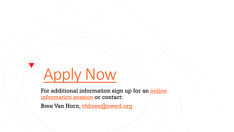# [Apply Now](https://www.nwed.org/apply-now)

[For additional information sign up for an online](https://docs.google.com/forms/d/e/1FAIpQLSferFrkCGhv0iGiOUZ-xmM_mY4CaDibt6Ix7jZpoYmEbBGuRg/viewform) information session or contact:

Bree Van Horn, [vhbree@nwed.org](mailto:vhbree@nwed.org)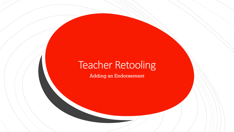# Teacher Retooling

Adding an Endorsement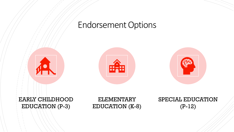## Endorsement Options







### EARLY CHILDHOOD EDUCATION (P-3)

#### ELEMENTARY EDUCATION (K-8)

### SPECIAL EDUCATION (P-12)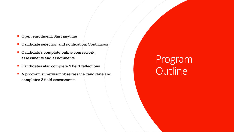- Open enrollment: Start anytime
- Candidate selection and notification: Continuous
- Candidate's complete online coursework, assessments and assignments
- Candidates also complete 5 field reflections
- **A program supervisor observes the candidate and** completes 2 field assessments

# Program **Outline**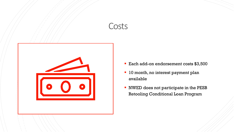

## **Costs**

- Each add-on endorsement costs \$3,500
- 10 month, no interest payment plan available
- NWED does not participate in the PESB Retooling Conditional Loan Program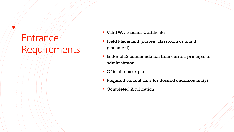# **Entrance** Requirements

- Valid WA Teacher Certificate
- **Example 2** Field Placement (current classroom or found placement)
- **EXECTE LETTER IS COMMED LETTER IS CONTEX LETTER IS CONTROLLED TO LATA CONTROLLY CONTROLLY CONTROLLY CONTROLLY CONTROLLY CONTROLLY CONTROLLY CONTROLLY CONTROLLY CONTROLLY CONTROLLY CONTROLLY CONTROLLY CONTROLLY CONTROLLY C** administrator
- **Official transcripts**
- **E** Required content tests for desired endorsement(s)
- **EX Completed Application**